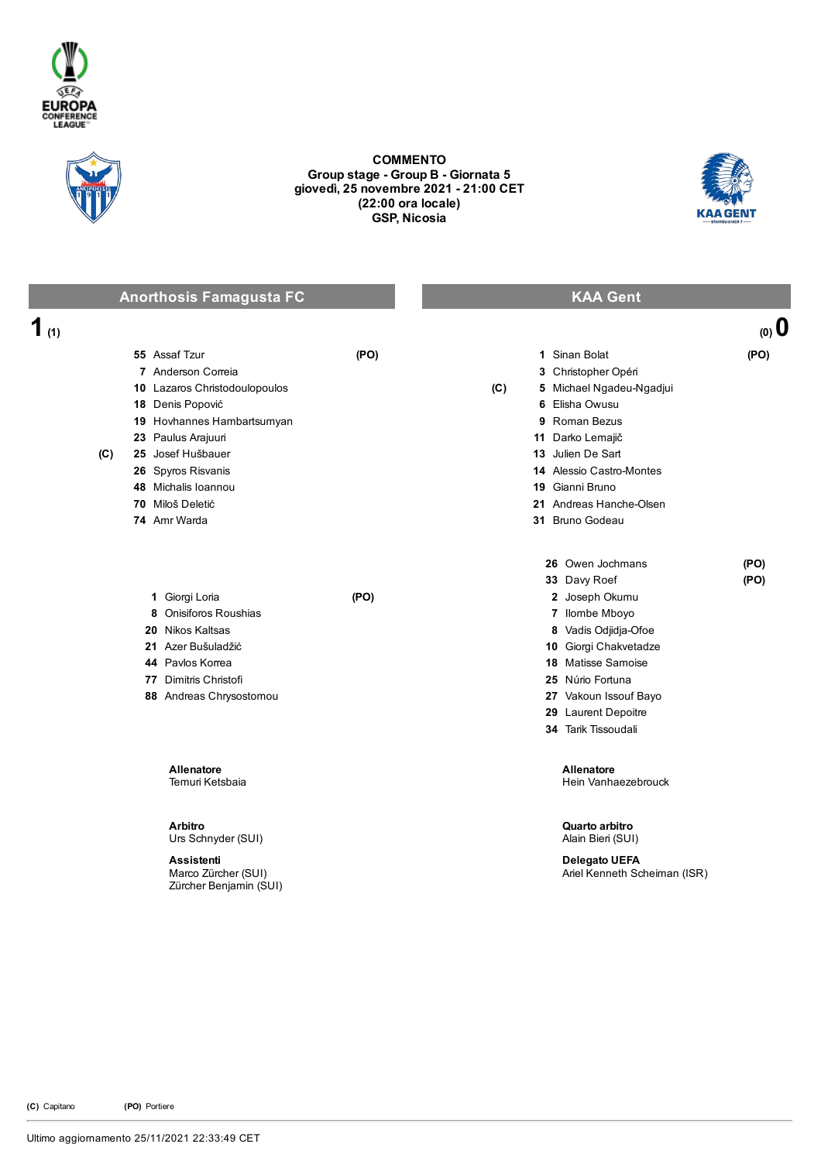



## COMMENTO Group stage - Group B - Giornata 5 giovedì, 25 novembre 2021 21:00 CET (22:00 ora locale) GSP, Nicosia



|          | <b>Anorthosis Famagusta FC</b>                                                                                                                                                                                                                             | <b>KAA Gent</b>                                                                                                                                                                                                                                          |
|----------|------------------------------------------------------------------------------------------------------------------------------------------------------------------------------------------------------------------------------------------------------------|----------------------------------------------------------------------------------------------------------------------------------------------------------------------------------------------------------------------------------------------------------|
| 1<br>(1) |                                                                                                                                                                                                                                                            | $(0)$ 0                                                                                                                                                                                                                                                  |
| (C)      | 55 Assaf Tzur<br>(PO)<br>7 Anderson Correia<br>10 Lazaros Christodoulopoulos<br>18 Denis Popović<br>19 Hovhannes Hambartsumyan<br>23 Paulus Arajuuri<br>25 Josef Hušbauer<br>26 Spyros Risvanis<br>48 Michalis Ioannou<br>70 Miloš Deletić<br>74 Amr Warda | 1 Sinan Bolat<br>(PO)<br>3 Christopher Opéri<br>(C)<br>5 Michael Ngadeu-Ngadjui<br>6 Elisha Owusu<br>9 Roman Bezus<br>11 Darko Lemajič<br>13 Julien De Sart<br>14 Alessio Castro-Montes<br>19 Gianni Bruno<br>21 Andreas Hanche-Olsen<br>31 Bruno Godeau |
|          | 1 Giorgi Loria<br>(PO)<br>Onisiforos Roushias<br>8<br>20 Nikos Kaltsas<br>21 Azer Bušuladžić<br>44 Pavlos Korrea<br>77 Dimitris Christofi<br>88 Andreas Chrysostomou                                                                                       | 26 Owen Jochmans<br>(PO)<br>33 Davy Roef<br>(PO)<br>2 Joseph Okumu<br>7 Ilombe Mboyo<br>8 Vadis Odjidja-Ofoe<br>10 Giorgi Chakvetadze<br>18 Matisse Samoise<br>25 Núrio Fortuna<br>27 Vakoun Issouf Bayo<br>29 Laurent Depoitre<br>34 Tarik Tissoudali   |
|          | <b>Allenatore</b><br>Temuri Ketsbaia                                                                                                                                                                                                                       | Allenatore<br>Hein Vanhaezebrouck                                                                                                                                                                                                                        |
|          | <b>Arbitro</b><br>Urs Schnyder (SUI)<br><b>Assistenti</b>                                                                                                                                                                                                  | Quarto arbitro<br>Alain Bieri (SUI)<br><b>Delegato UEFA</b>                                                                                                                                                                                              |

Marco Zürcher (SUI) Zürcher Benjamin (SUI) Ariel Kenneth Scheiman (ISR)

(C) Capitano (PO) Portiere